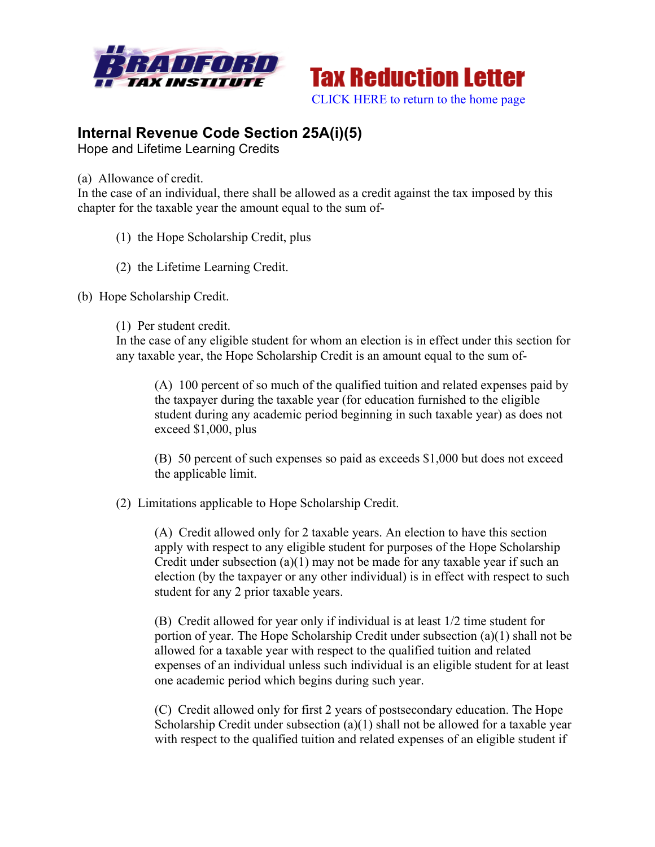



# **Internal Revenue Code Section 25A(i)(5)**

Hope and Lifetime Learning Credits

(a) Allowance of credit.

In the case of an individual, there shall be allowed as a credit against the tax imposed by this chapter for the taxable year the amount equal to the sum of-

- (1) the Hope Scholarship Credit, plus
- (2) the Lifetime Learning Credit.
- (b) Hope Scholarship Credit.
	- (1) Per student credit.

In the case of any eligible student for whom an election is in effect under this section for any taxable year, the Hope Scholarship Credit is an amount equal to the sum of-

(A) 100 percent of so much of the qualified tuition and related expenses paid by the taxpayer during the taxable year (for education furnished to the eligible student during any academic period beginning in such taxable year) as does not exceed \$1,000, plus

(B) 50 percent of such expenses so paid as exceeds \$1,000 but does not exceed the applicable limit.

(2) Limitations applicable to Hope Scholarship Credit.

(A) Credit allowed only for 2 taxable years. An election to have this section apply with respect to any eligible student for purposes of the Hope Scholarship Credit under subsection (a)(1) may not be made for any taxable year if such an election (by the taxpayer or any other individual) is in effect with respect to such student for any 2 prior taxable years.

(B) Credit allowed for year only if individual is at least 1/2 time student for portion of year. The Hope Scholarship Credit under subsection (a)(1) shall not be allowed for a taxable year with respect to the qualified tuition and related expenses of an individual unless such individual is an eligible student for at least one academic period which begins during such year.

(C) Credit allowed only for first 2 years of postsecondary education. The Hope Scholarship Credit under subsection (a)(1) shall not be allowed for a taxable year with respect to the qualified tuition and related expenses of an eligible student if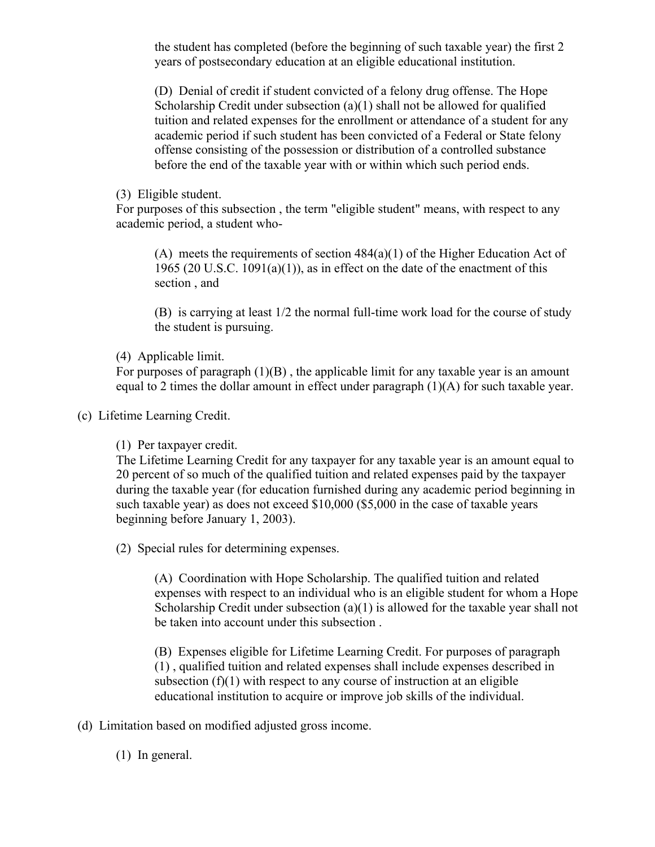the student has completed (before the beginning of such taxable year) the first 2 years of postsecondary education at an eligible educational institution.

(D) Denial of credit if student convicted of a felony drug offense. The Hope Scholarship Credit under subsection (a)(1) shall not be allowed for qualified tuition and related expenses for the enrollment or attendance of a student for any academic period if such student has been convicted of a Federal or State felony offense consisting of the possession or distribution of a controlled substance before the end of the taxable year with or within which such period ends.

(3) Eligible student.

For purposes of this subsection , the term "eligible student" means, with respect to any academic period, a student who-

(A) meets the requirements of section 484(a)(1) of the Higher Education Act of 1965 (20 U.S.C. 1091(a)(1)), as in effect on the date of the enactment of this section , and

(B) is carrying at least 1/2 the normal full-time work load for the course of study the student is pursuing.

(4) Applicable limit.

For purposes of paragraph  $(1)(B)$ , the applicable limit for any taxable year is an amount equal to 2 times the dollar amount in effect under paragraph (1)(A) for such taxable year.

(c) Lifetime Learning Credit.

(1) Per taxpayer credit.

The Lifetime Learning Credit for any taxpayer for any taxable year is an amount equal to 20 percent of so much of the qualified tuition and related expenses paid by the taxpayer during the taxable year (for education furnished during any academic period beginning in such taxable year) as does not exceed \$10,000 (\$5,000 in the case of taxable years beginning before January 1, 2003).

(2) Special rules for determining expenses.

(A) Coordination with Hope Scholarship. The qualified tuition and related expenses with respect to an individual who is an eligible student for whom a Hope Scholarship Credit under subsection (a)(1) is allowed for the taxable year shall not be taken into account under this subsection .

(B) Expenses eligible for Lifetime Learning Credit. For purposes of paragraph (1) , qualified tuition and related expenses shall include expenses described in subsection  $(f)(1)$  with respect to any course of instruction at an eligible educational institution to acquire or improve job skills of the individual.

(d) Limitation based on modified adjusted gross income.

(1) In general.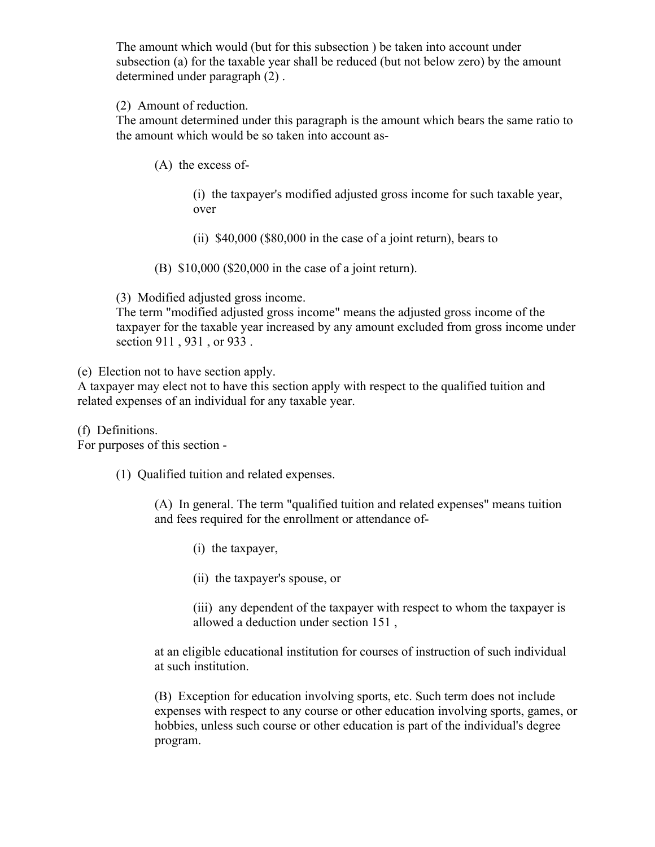The amount which would (but for this subsection ) be taken into account under subsection (a) for the taxable year shall be reduced (but not below zero) by the amount determined under paragraph (2) .

### (2) Amount of reduction.

The amount determined under this paragraph is the amount which bears the same ratio to the amount which would be so taken into account as-

(A) the excess of-

(i) the taxpayer's modified adjusted gross income for such taxable year, over

(ii) \$40,000 (\$80,000 in the case of a joint return), bears to

(B) \$10,000 (\$20,000 in the case of a joint return).

(3) Modified adjusted gross income.

The term "modified adjusted gross income" means the adjusted gross income of the taxpayer for the taxable year increased by any amount excluded from gross income under section 911 , 931 , or 933 .

(e) Election not to have section apply.

A taxpayer may elect not to have this section apply with respect to the qualified tuition and related expenses of an individual for any taxable year.

(f) Definitions.

For purposes of this section -

(1) Qualified tuition and related expenses.

(A) In general. The term "qualified tuition and related expenses" means tuition and fees required for the enrollment or attendance of-

- (i) the taxpayer,
- (ii) the taxpayer's spouse, or

(iii) any dependent of the taxpayer with respect to whom the taxpayer is allowed a deduction under section 151 ,

at an eligible educational institution for courses of instruction of such individual at such institution.

(B) Exception for education involving sports, etc. Such term does not include expenses with respect to any course or other education involving sports, games, or hobbies, unless such course or other education is part of the individual's degree program.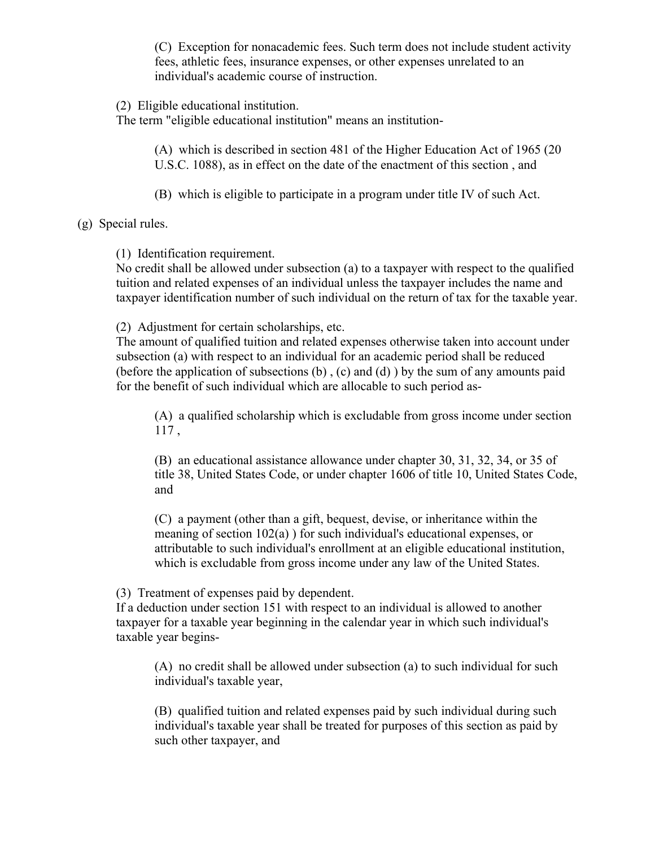(C) Exception for nonacademic fees. Such term does not include student activity fees, athletic fees, insurance expenses, or other expenses unrelated to an individual's academic course of instruction.

(2) Eligible educational institution.

The term "eligible educational institution" means an institution-

(A) which is described in section 481 of the Higher Education Act of 1965 (20 U.S.C. 1088), as in effect on the date of the enactment of this section , and

(B) which is eligible to participate in a program under title IV of such Act.

(g) Special rules.

(1) Identification requirement.

No credit shall be allowed under subsection (a) to a taxpayer with respect to the qualified tuition and related expenses of an individual unless the taxpayer includes the name and taxpayer identification number of such individual on the return of tax for the taxable year.

(2) Adjustment for certain scholarships, etc.

The amount of qualified tuition and related expenses otherwise taken into account under subsection (a) with respect to an individual for an academic period shall be reduced (before the application of subsections  $(b)$ ,  $(c)$  and  $(d)$ ) by the sum of any amounts paid for the benefit of such individual which are allocable to such period as-

(A) a qualified scholarship which is excludable from gross income under section 117 ,

(B) an educational assistance allowance under chapter 30, 31, 32, 34, or 35 of title 38, United States Code, or under chapter 1606 of title 10, United States Code, and

(C) a payment (other than a gift, bequest, devise, or inheritance within the meaning of section 102(a) ) for such individual's educational expenses, or attributable to such individual's enrollment at an eligible educational institution, which is excludable from gross income under any law of the United States.

(3) Treatment of expenses paid by dependent.

If a deduction under section 151 with respect to an individual is allowed to another taxpayer for a taxable year beginning in the calendar year in which such individual's taxable year begins-

(A) no credit shall be allowed under subsection (a) to such individual for such individual's taxable year,

(B) qualified tuition and related expenses paid by such individual during such individual's taxable year shall be treated for purposes of this section as paid by such other taxpayer, and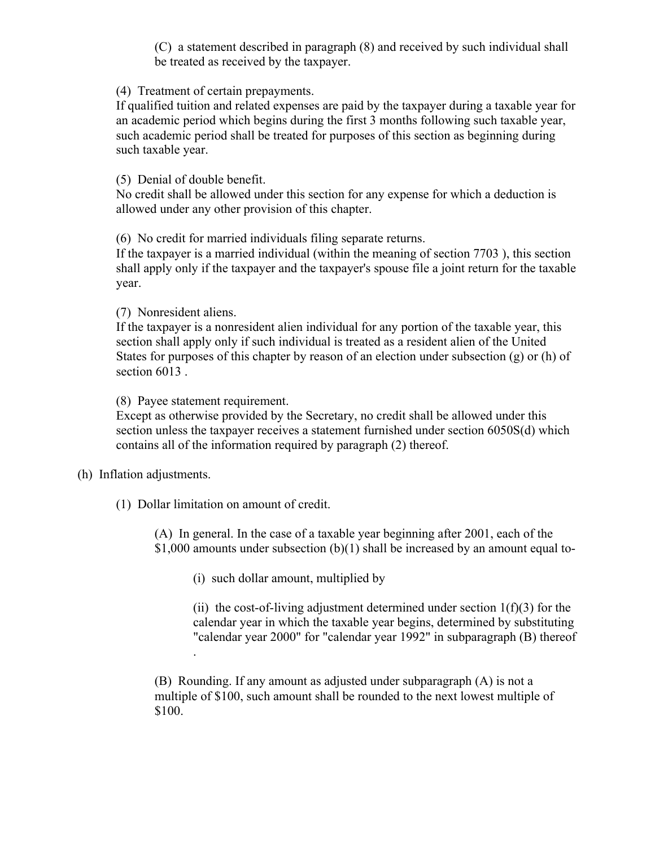(C) a statement described in paragraph (8) and received by such individual shall be treated as received by the taxpayer.

(4) Treatment of certain prepayments.

If qualified tuition and related expenses are paid by the taxpayer during a taxable year for an academic period which begins during the first 3 months following such taxable year, such academic period shall be treated for purposes of this section as beginning during such taxable year.

(5) Denial of double benefit.

No credit shall be allowed under this section for any expense for which a deduction is allowed under any other provision of this chapter.

(6) No credit for married individuals filing separate returns.

If the taxpayer is a married individual (within the meaning of section 7703 ), this section shall apply only if the taxpayer and the taxpayer's spouse file a joint return for the taxable year.

(7) Nonresident aliens.

If the taxpayer is a nonresident alien individual for any portion of the taxable year, this section shall apply only if such individual is treated as a resident alien of the United States for purposes of this chapter by reason of an election under subsection (g) or (h) of section 6013 .

(8) Payee statement requirement.

Except as otherwise provided by the Secretary, no credit shall be allowed under this section unless the taxpayer receives a statement furnished under section 6050S(d) which contains all of the information required by paragraph (2) thereof.

(h) Inflation adjustments.

(1) Dollar limitation on amount of credit.

.

(A) In general. In the case of a taxable year beginning after 2001, each of the \$1,000 amounts under subsection  $(b)(1)$  shall be increased by an amount equal to-

(i) such dollar amount, multiplied by

(ii) the cost-of-living adjustment determined under section  $1(f)(3)$  for the calendar year in which the taxable year begins, determined by substituting "calendar year 2000" for "calendar year 1992" in subparagraph (B) thereof

(B) Rounding. If any amount as adjusted under subparagraph (A) is not a multiple of \$100, such amount shall be rounded to the next lowest multiple of \$100.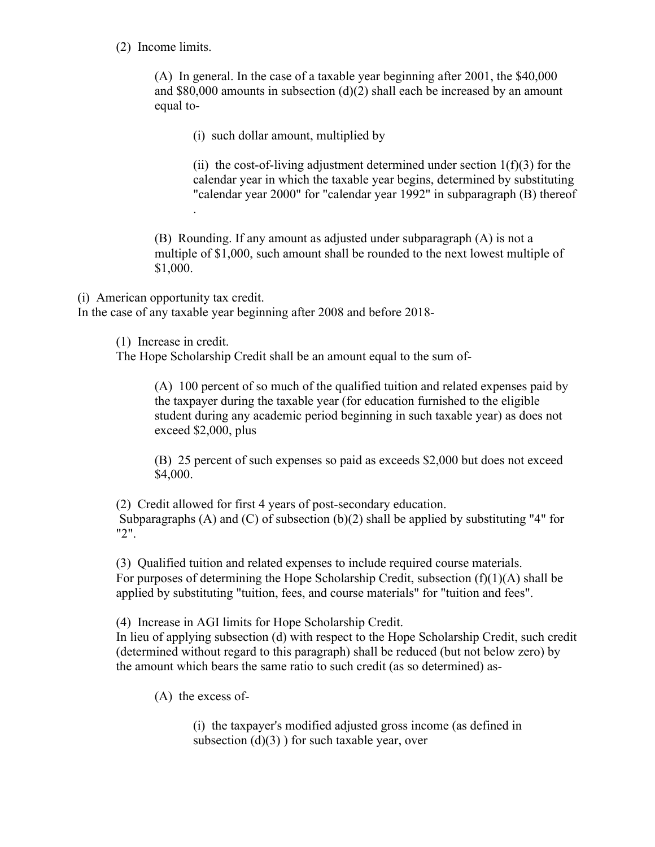### (2) Income limits.

(A) In general. In the case of a taxable year beginning after 2001, the \$40,000 and  $$80,000$  amounts in subsection (d)(2) shall each be increased by an amount equal to-

(i) such dollar amount, multiplied by

(ii) the cost-of-living adjustment determined under section  $1(f)(3)$  for the calendar year in which the taxable year begins, determined by substituting "calendar year 2000" for "calendar year 1992" in subparagraph (B) thereof

(B) Rounding. If any amount as adjusted under subparagraph (A) is not a multiple of \$1,000, such amount shall be rounded to the next lowest multiple of \$1,000.

(i) American opportunity tax credit.

.

In the case of any taxable year beginning after 2008 and before 2018-

(1) Increase in credit.

The Hope Scholarship Credit shall be an amount equal to the sum of-

(A) 100 percent of so much of the qualified tuition and related expenses paid by the taxpayer during the taxable year (for education furnished to the eligible student during any academic period beginning in such taxable year) as does not exceed \$2,000, plus

(B) 25 percent of such expenses so paid as exceeds \$2,000 but does not exceed \$4,000.

(2) Credit allowed for first 4 years of post-secondary education. Subparagraphs (A) and (C) of subsection  $(b)(2)$  shall be applied by substituting "4" for "2".

(3) Qualified tuition and related expenses to include required course materials. For purposes of determining the Hope Scholarship Credit, subsection  $(f)(1)(A)$  shall be applied by substituting "tuition, fees, and course materials" for "tuition and fees".

(4) Increase in AGI limits for Hope Scholarship Credit.

In lieu of applying subsection (d) with respect to the Hope Scholarship Credit, such credit (determined without regard to this paragraph) shall be reduced (but not below zero) by the amount which bears the same ratio to such credit (as so determined) as-

(A) the excess of-

(i) the taxpayer's modified adjusted gross income (as defined in subsection  $(d)(3)$  ) for such taxable year, over